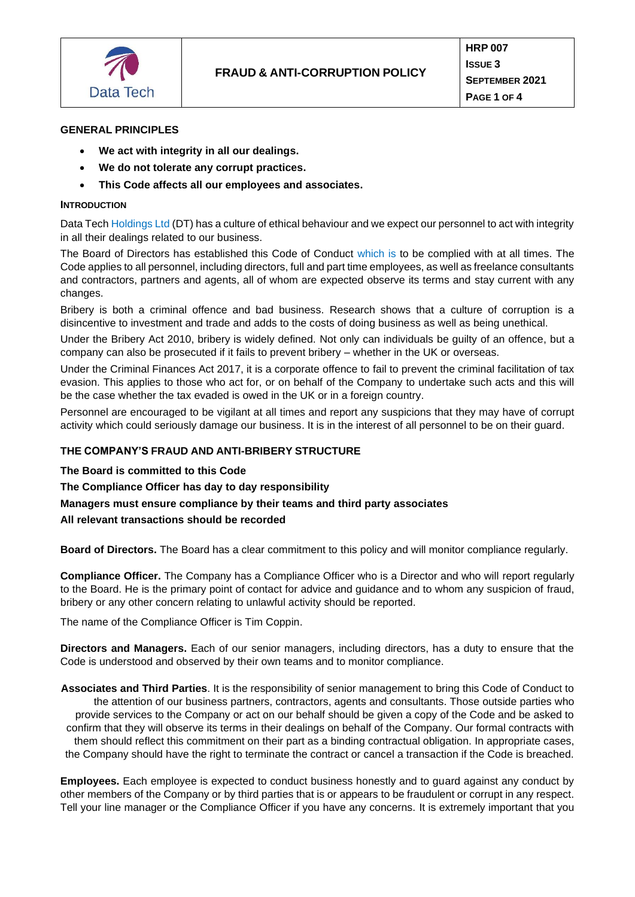

#### **GENERAL PRINCIPLES**

- **We act with integrity in all our dealings.**
- **We do not tolerate any corrupt practices.**
- **This Code affects all our employees and associates.**

#### **INTRODUCTION**

Data Tech Holdings Ltd (DT) has a culture of ethical behaviour and we expect our personnel to act with integrity in all their dealings related to our business.

The Board of Directors has established this Code of Conduct which is to be complied with at all times. The Code applies to all personnel, including directors, full and part time employees, as well as freelance consultants and contractors, partners and agents, all of whom are expected observe its terms and stay current with any changes.

Bribery is both a criminal offence and bad business. Research shows that a culture of corruption is a disincentive to investment and trade and adds to the costs of doing business as well as being unethical.

Under the Bribery Act 2010, bribery is widely defined. Not only can individuals be guilty of an offence, but a company can also be prosecuted if it fails to prevent bribery – whether in the UK or overseas.

Under the Criminal Finances Act 2017, it is a corporate offence to fail to prevent the criminal facilitation of tax evasion. This applies to those who act for, or on behalf of the Company to undertake such acts and this will be the case whether the tax evaded is owed in the UK or in a foreign country.

Personnel are encouraged to be vigilant at all times and report any suspicions that they may have of corrupt activity which could seriously damage our business. It is in the interest of all personnel to be on their guard.

### **THE COMPANY'S FRAUD AND ANTI-BRIBERY STRUCTURE**

**The Board is committed to this Code**

**The Compliance Officer has day to day responsibility**

**Managers must ensure compliance by their teams and third party associates** 

**All relevant transactions should be recorded**

**Board of Directors.** The Board has a clear commitment to this policy and will monitor compliance regularly.

**Compliance Officer.** The Company has a Compliance Officer who is a Director and who will report regularly to the Board. He is the primary point of contact for advice and guidance and to whom any suspicion of fraud, bribery or any other concern relating to unlawful activity should be reported.

The name of the Compliance Officer is Tim Coppin.

**Directors and Managers.** Each of our senior managers, including directors, has a duty to ensure that the Code is understood and observed by their own teams and to monitor compliance.

**Associates and Third Parties**. It is the responsibility of senior management to bring this Code of Conduct to the attention of our business partners, contractors, agents and consultants. Those outside parties who provide services to the Company or act on our behalf should be given a copy of the Code and be asked to confirm that they will observe its terms in their dealings on behalf of the Company. Our formal contracts with them should reflect this commitment on their part as a binding contractual obligation. In appropriate cases, the Company should have the right to terminate the contract or cancel a transaction if the Code is breached.

**Employees.** Each employee is expected to conduct business honestly and to guard against any conduct by other members of the Company or by third parties that is or appears to be fraudulent or corrupt in any respect. Tell your line manager or the Compliance Officer if you have any concerns. It is extremely important that you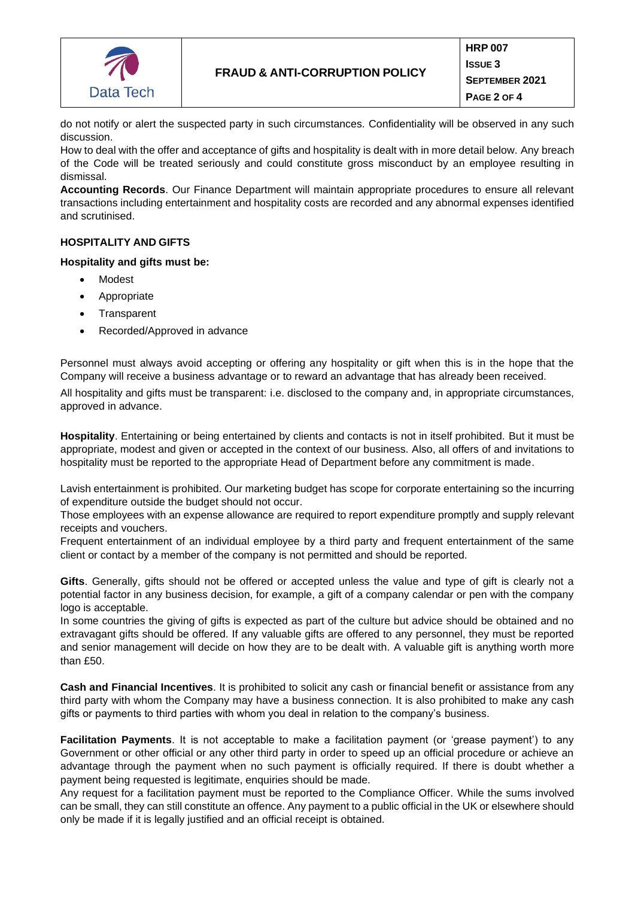

do not notify or alert the suspected party in such circumstances. Confidentiality will be observed in any such discussion.

How to deal with the offer and acceptance of gifts and hospitality is dealt with in more detail below. Any breach of the Code will be treated seriously and could constitute gross misconduct by an employee resulting in dismissal.

**Accounting Records**. Our Finance Department will maintain appropriate procedures to ensure all relevant transactions including entertainment and hospitality costs are recorded and any abnormal expenses identified and scrutinised.

### **HOSPITALITY AND GIFTS**

### **Hospitality and gifts must be:**

- Modest
- Appropriate
- **Transparent**
- Recorded/Approved in advance

Personnel must always avoid accepting or offering any hospitality or gift when this is in the hope that the Company will receive a business advantage or to reward an advantage that has already been received.

All hospitality and gifts must be transparent: i.e. disclosed to the company and, in appropriate circumstances, approved in advance.

**Hospitality**. Entertaining or being entertained by clients and contacts is not in itself prohibited. But it must be appropriate, modest and given or accepted in the context of our business. Also, all offers of and invitations to hospitality must be reported to the appropriate Head of Department before any commitment is made.

Lavish entertainment is prohibited. Our marketing budget has scope for corporate entertaining so the incurring of expenditure outside the budget should not occur.

Those employees with an expense allowance are required to report expenditure promptly and supply relevant receipts and vouchers.

Frequent entertainment of an individual employee by a third party and frequent entertainment of the same client or contact by a member of the company is not permitted and should be reported.

**Gifts**. Generally, gifts should not be offered or accepted unless the value and type of gift is clearly not a potential factor in any business decision, for example, a gift of a company calendar or pen with the company logo is acceptable.

In some countries the giving of gifts is expected as part of the culture but advice should be obtained and no extravagant gifts should be offered. If any valuable gifts are offered to any personnel, they must be reported and senior management will decide on how they are to be dealt with. A valuable gift is anything worth more than £50.

**Cash and Financial Incentives**. It is prohibited to solicit any cash or financial benefit or assistance from any third party with whom the Company may have a business connection. It is also prohibited to make any cash gifts or payments to third parties with whom you deal in relation to the company's business.

**Facilitation Payments**. It is not acceptable to make a facilitation payment (or 'grease payment') to any Government or other official or any other third party in order to speed up an official procedure or achieve an advantage through the payment when no such payment is officially required. If there is doubt whether a payment being requested is legitimate, enquiries should be made.

Any request for a facilitation payment must be reported to the Compliance Officer. While the sums involved can be small, they can still constitute an offence. Any payment to a public official in the UK or elsewhere should only be made if it is legally justified and an official receipt is obtained.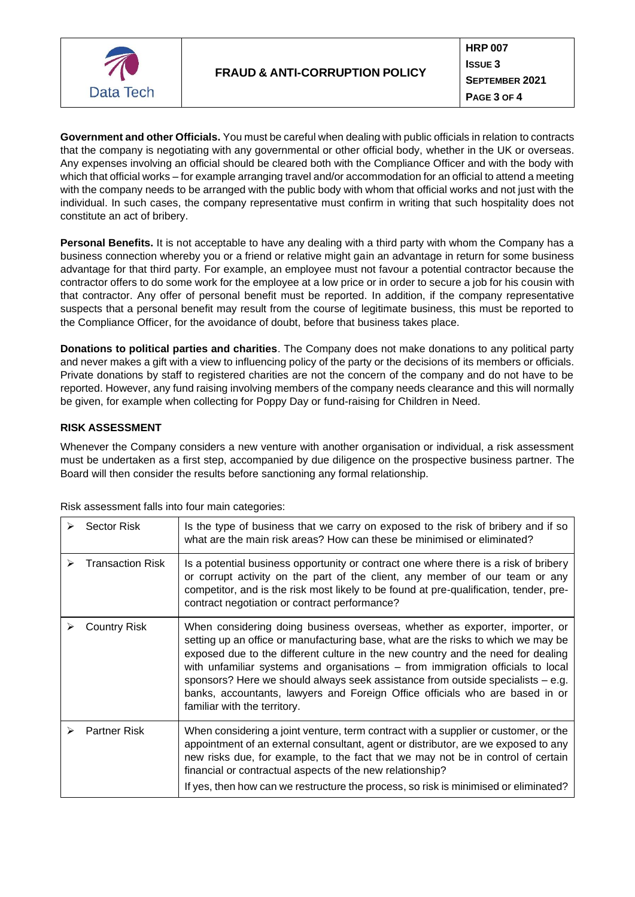

**Government and other Officials.** You must be careful when dealing with public officials in relation to contracts that the company is negotiating with any governmental or other official body, whether in the UK or overseas. Any expenses involving an official should be cleared both with the Compliance Officer and with the body with which that official works – for example arranging travel and/or accommodation for an official to attend a meeting with the company needs to be arranged with the public body with whom that official works and not just with the individual. In such cases, the company representative must confirm in writing that such hospitality does not constitute an act of bribery.

**Personal Benefits.** It is not acceptable to have any dealing with a third party with whom the Company has a business connection whereby you or a friend or relative might gain an advantage in return for some business advantage for that third party. For example, an employee must not favour a potential contractor because the contractor offers to do some work for the employee at a low price or in order to secure a job for his cousin with that contractor. Any offer of personal benefit must be reported. In addition, if the company representative suspects that a personal benefit may result from the course of legitimate business, this must be reported to the Compliance Officer, for the avoidance of doubt, before that business takes place.

**Donations to political parties and charities**. The Company does not make donations to any political party and never makes a gift with a view to influencing policy of the party or the decisions of its members or officials. Private donations by staff to registered charities are not the concern of the company and do not have to be reported. However, any fund raising involving members of the company needs clearance and this will normally be given, for example when collecting for Poppy Day or fund-raising for Children in Need.

# **RISK ASSESSMENT**

Whenever the Company considers a new venture with another organisation or individual, a risk assessment must be undertaken as a first step, accompanied by due diligence on the prospective business partner. The Board will then consider the results before sanctioning any formal relationship.

|   | Sector Risk             | Is the type of business that we carry on exposed to the risk of bribery and if so<br>what are the main risk areas? How can these be minimised or eliminated?                                                                                                                                                                                                                                                                                                                                                                                 |
|---|-------------------------|----------------------------------------------------------------------------------------------------------------------------------------------------------------------------------------------------------------------------------------------------------------------------------------------------------------------------------------------------------------------------------------------------------------------------------------------------------------------------------------------------------------------------------------------|
| ➤ | <b>Transaction Risk</b> | Is a potential business opportunity or contract one where there is a risk of bribery<br>or corrupt activity on the part of the client, any member of our team or any<br>competitor, and is the risk most likely to be found at pre-qualification, tender, pre-<br>contract negotiation or contract performance?                                                                                                                                                                                                                              |
|   | <b>Country Risk</b>     | When considering doing business overseas, whether as exporter, importer, or<br>setting up an office or manufacturing base, what are the risks to which we may be<br>exposed due to the different culture in the new country and the need for dealing<br>with unfamiliar systems and organisations – from immigration officials to local<br>sponsors? Here we should always seek assistance from outside specialists $-$ e.g.<br>banks, accountants, lawyers and Foreign Office officials who are based in or<br>familiar with the territory. |
|   | <b>Partner Risk</b>     | When considering a joint venture, term contract with a supplier or customer, or the<br>appointment of an external consultant, agent or distributor, are we exposed to any<br>new risks due, for example, to the fact that we may not be in control of certain<br>financial or contractual aspects of the new relationship?<br>If yes, then how can we restructure the process, so risk is minimised or eliminated?                                                                                                                           |

Risk assessment falls into four main categories: